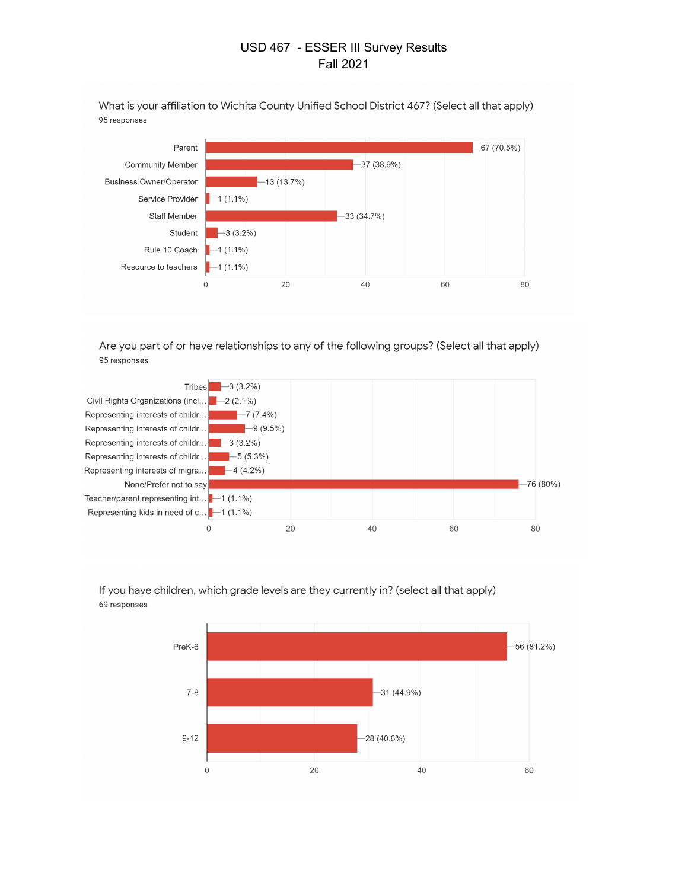What is your affiliation to Wichita County Unified School District 467? (Select all that apply) 95 responses



Are you part of or have relationships to any of the following groups? (Select all that apply) 95 responses





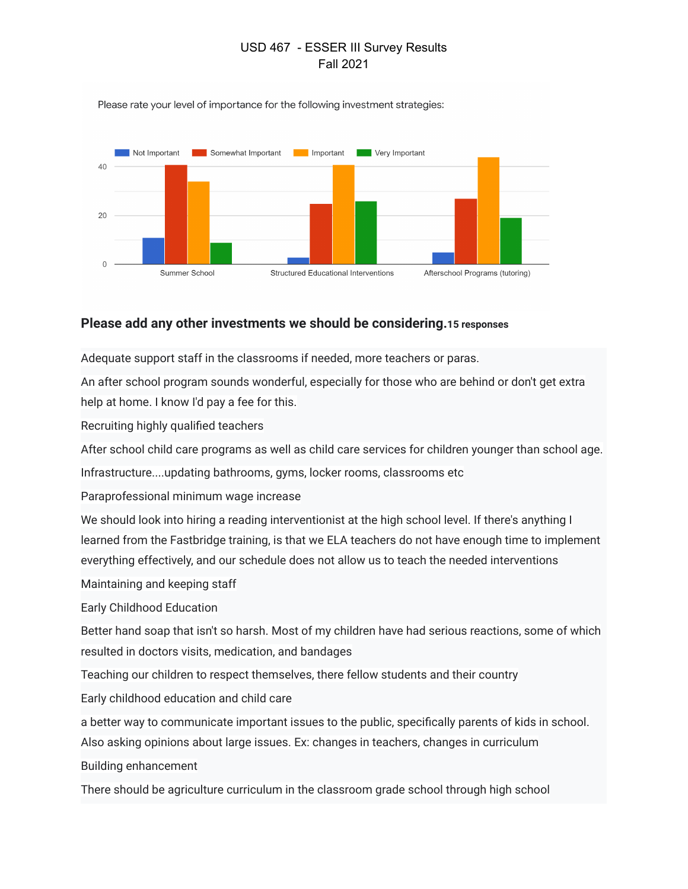Please rate your level of importance for the following investment strategies:



## **Please add any other investments we should be considering.15 responses**

Adequate support staff in the classrooms if needed, more teachers or paras.

An after school program sounds wonderful, especially for those who are behind or don't get extra help at home. I know I'd pay a fee for this.

Recruiting highly qualified teachers

After school child care programs as well as child care services for children younger than school age.

Infrastructure....updating bathrooms, gyms, locker rooms, classrooms etc

Paraprofessional minimum wage increase

We should look into hiring a reading interventionist at the high school level. If there's anything I learned from the Fastbridge training, is that we ELA teachers do not have enough time to implement everything effectively, and our schedule does not allow us to teach the needed interventions

Maintaining and keeping staff

Early Childhood Education

Better hand soap that isn't so harsh. Most of my children have had serious reactions, some of which resulted in doctors visits, medication, and bandages

Teaching our children to respect themselves, there fellow students and their country

Early childhood education and child care

a better way to communicate important issues to the public, specifically parents of kids in school.

Also asking opinions about large issues. Ex: changes in teachers, changes in curriculum

Building enhancement

There should be agriculture curriculum in the classroom grade school through high school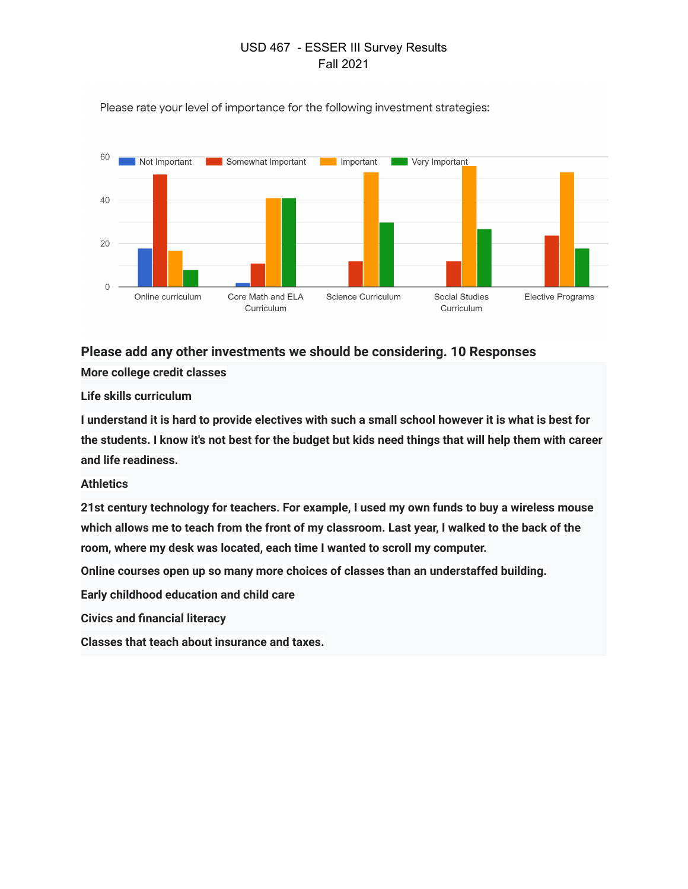

Please rate your level of importance for the following investment strategies:

## **Please add any other investments we should be considering. 10 Responses**

**More college credit classes**

**Life skills curriculum**

**I understand it is hard to provide electives with such a small school however it is what is best for the students. I know it's not best for the budget but kids need things that will help them with career and life readiness.**

## **Athletics**

**21st century technology for teachers. For example, I used my own funds to buy a wireless mouse which allows me to teach from the front of my classroom. Last year, I walked to the back of the room, where my desk was located, each time I wanted to scroll my computer.**

**Online courses open up so many more choices of classes than an understaffed building.**

**Early childhood education and child care**

**Civics and financial literacy**

**Classes that teach about insurance and taxes.**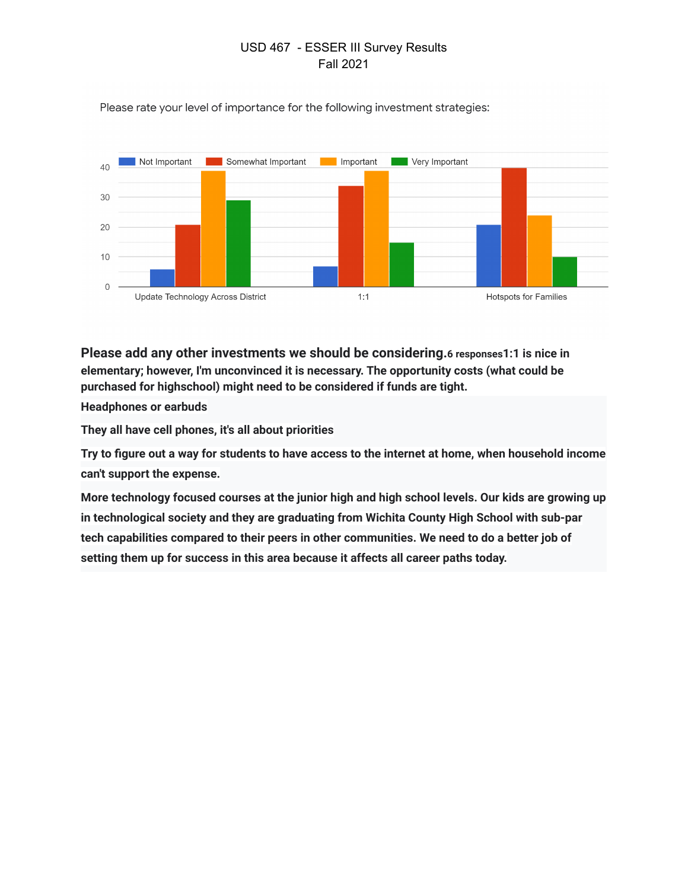

Please rate your level of importance for the following investment strategies:

**Please add any other investments we should be considering.6 responses1:1 is nice in elementary; however, I'm unconvinced it is necessary. The opportunity costs (what could be purchased for highschool) might need to be considered if funds are tight.**

**Headphones or earbuds**

**They all have cell phones, it's all about priorities**

**Try to figure out a way for students to have access to the internet at home, when household income can't support the expense.**

**More technology focused courses at the junior high and high school levels. Our kids are growing up in technological society and they are graduating from Wichita County High School with sub-par tech capabilities compared to their peers in other communities. We need to do a better job of setting them up for success in this area because it affects all career paths today.**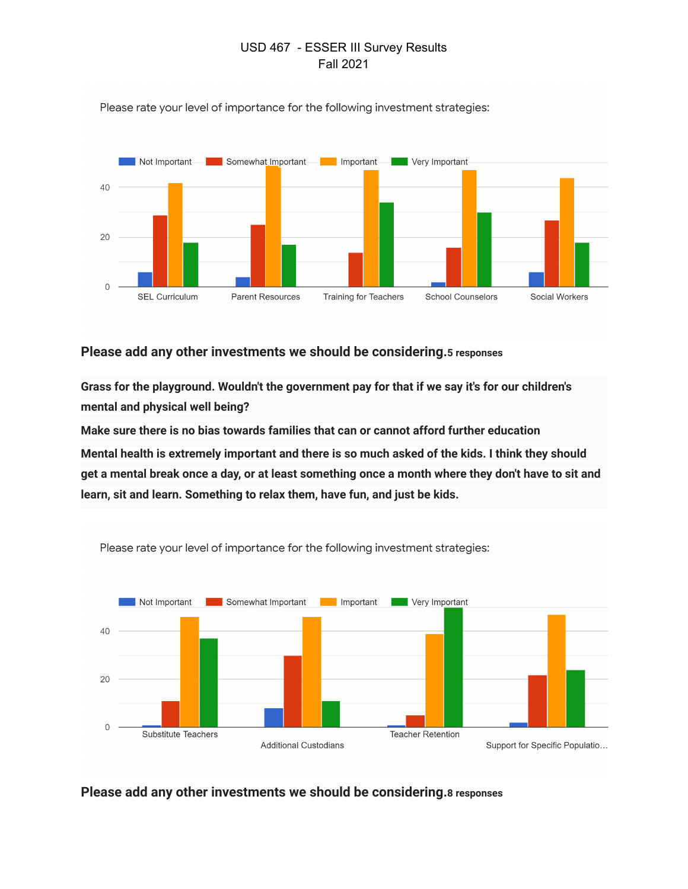

Please rate your level of importance for the following investment strategies:

## **Please add any other investments we should be considering.5 responses**

**Grass for the playground. Wouldn't the government pay for that if we say it's for our children's mental and physical well being?**

**Make sure there is no bias towards families that can or cannot afford further education Mental health is extremely important and there is so much asked of the kids. I think they should get a mental break once a day, or at least something once a month where they don't have to sit and learn, sit and learn. Something to relax them, have fun, and just be kids.**



Please rate your level of importance for the following investment strategies:

**Please add any other investments we should be considering.8 responses**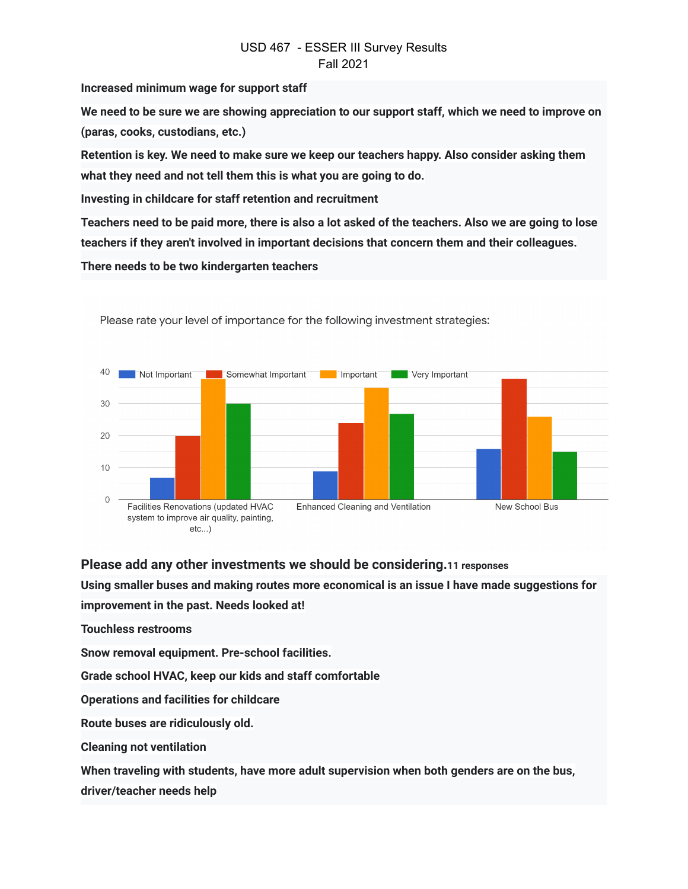**Increased minimum wage for support staff**

**We need to be sure we are showing appreciation to our support staff, which we need to improve on (paras, cooks, custodians, etc.)**

**Retention is key. We need to make sure we keep our teachers happy. Also consider asking them what they need and not tell them this is what you are going to do.**

**Investing in childcare for staff retention and recruitment**

**Teachers need to be paid more, there is also a lot asked of the teachers. Also we are going to lose teachers if they aren't involved in important decisions that concern them and their colleagues.**

**There needs to be two kindergarten teachers**



Please rate your level of importance for the following investment strategies:

**Please add any other investments we should be considering.11 responses**

**Using smaller buses and making routes more economical is an issue I have made suggestions for improvement in the past. Needs looked at!**

**Touchless restrooms**

**Snow removal equipment. Pre-school facilities.**

**Grade school HVAC, keep our kids and staff comfortable**

**Operations and facilities for childcare**

**Route buses are ridiculously old.**

**Cleaning not ventilation**

**When traveling with students, have more adult supervision when both genders are on the bus,**

**driver/teacher needs help**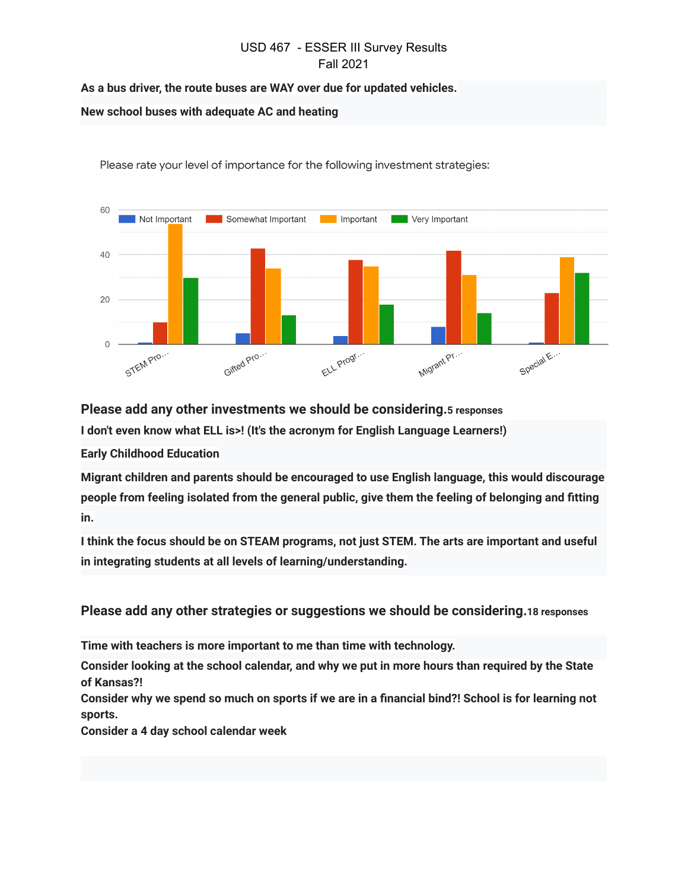**As a bus driver, the route buses are WAY over due for updated vehicles.**

#### **New school buses with adequate AC and heating**



Please rate your level of importance for the following investment strategies:

**Please add any other investments we should be considering.5 responses**

**I don't even know what ELL is>! (It's the acronym for English Language Learners!)**

**Early Childhood Education**

**Migrant children and parents should be encouraged to use English language, this would discourage people from feeling isolated from the general public, give them the feeling of belonging and fitting in.**

**I think the focus should be on STEAM programs, not just STEM. The arts are important and useful in integrating students at all levels of learning/understanding.**

**Please add any other strategies or suggestions we should be considering.18 responses**

**Time with teachers is more important to me than time with technology.**

**Consider looking at the school calendar, and why we put in more hours than required by the State of Kansas?!**

**Consider why we spend so much on sports if we are in a financial bind?! School is for learning not sports.**

**Consider a 4 day school calendar week**